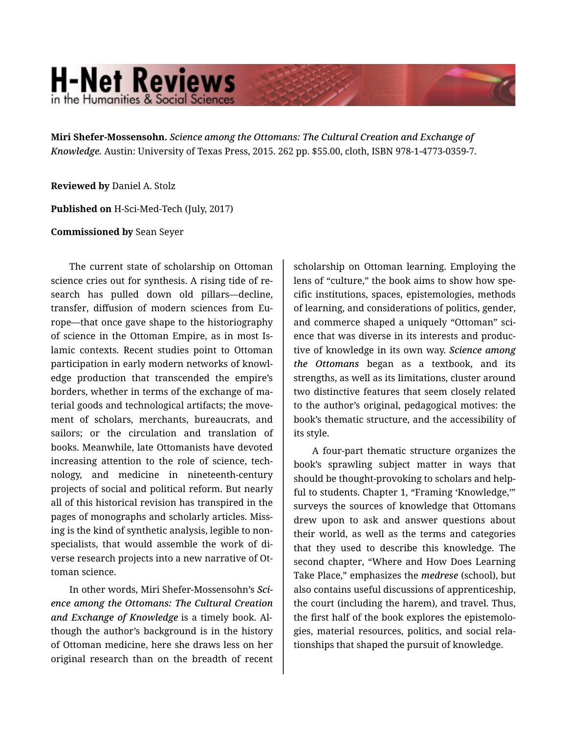## **H-Net Reviews** in the Humanities & Social Scienc

**Miri Shefer-Mossensohn.** *Science among the Ottomans: The Cultural Creation and Exchange of Knowledge.* Austin: University of Texas Press, 2015. 262 pp. \$55.00, cloth, ISBN 978-1-4773-0359-7.

**Reviewed by** Daniel A. Stolz

**Published on** H-Sci-Med-Tech (July, 2017)

**Commissioned by** Sean Seyer

The current state of scholarship on Ottoman science cries out for synthesis. A rising tide of re‐ search has pulled down old pillars—decline, transfer, diffusion of modern sciences from Eu‐ rope—that once gave shape to the historiography of science in the Ottoman Empire, as in most Is‐ lamic contexts. Recent studies point to Ottoman participation in early modern networks of knowl‐ edge production that transcended the empire's borders, whether in terms of the exchange of ma‐ terial goods and technological artifacts; the move‐ ment of scholars, merchants, bureaucrats, and sailors; or the circulation and translation of books. Meanwhile, late Ottomanists have devoted increasing attention to the role of science, tech‐ nology, and medicine in nineteenth-century projects of social and political reform. But nearly all of this historical revision has transpired in the pages of monographs and scholarly articles. Miss‐ ing is the kind of synthetic analysis, legible to non‐ specialists, that would assemble the work of di‐ verse research projects into a new narrative of Ot‐ toman science.

In other words, Miri Shefer-Mossensohn's *Sci‐ ence among the Ottomans: The Cultural Creation and Exchange of Knowledge* is a timely book. Al‐ though the author's background is in the history of Ottoman medicine, here she draws less on her original research than on the breadth of recent

scholarship on Ottoman learning. Employing the lens of "culture," the book aims to show how spe‐ cific institutions, spaces, epistemologies, methods of learning, and considerations of politics, gender, and commerce shaped a uniquely "Ottoman" sci‐ ence that was diverse in its interests and produc‐ tive of knowledge in its own way. *Science among the Ottomans* began as a textbook, and its strengths, as well as its limitations, cluster around two distinctive features that seem closely related to the author's original, pedagogical motives: the book's thematic structure, and the accessibility of its style.

A four-part thematic structure organizes the book's sprawling subject matter in ways that should be thought-provoking to scholars and help‐ ful to students. Chapter 1, "Framing 'Knowledge,'" surveys the sources of knowledge that Ottomans drew upon to ask and answer questions about their world, as well as the terms and categories that they used to describe this knowledge. The second chapter, "Where and How Does Learning Take Place," emphasizes the *medrese* (school), but also contains useful discussions of apprenticeship, the court (including the harem), and travel. Thus, the first half of the book explores the epistemolo‐ gies, material resources, politics, and social rela‐ tionships that shaped the pursuit of knowledge.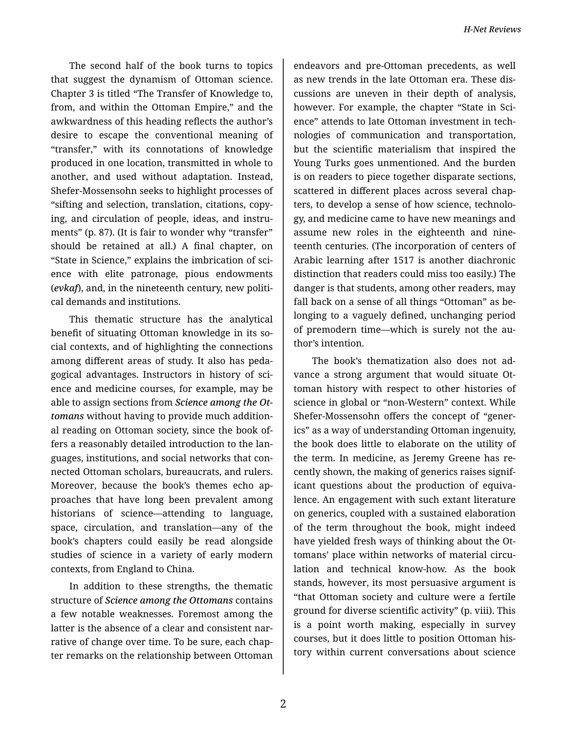The second half of the book turns to topics that suggest the dynamism of Ottoman science. Chapter 3 is titled "The Transfer of Knowledge to, from, and within the Ottoman Empire," and the awkwardness of this heading reflects the author's desire to escape the conventional meaning of "transfer," with its connotations of knowledge produced in one location, transmitted in whole to another, and used without adaptation. Instead, Shefer-Mossensohn seeks to highlight processes of "sifting and selection, translation, citations, copy‐ ing, and circulation of people, ideas, and instru‐ ments" (p. 87). (It is fair to wonder why "transfer" should be retained at all.) A final chapter, on "State in Science," explains the imbrication of sci‐ ence with elite patronage, pious endowments (*evkaf*), and, in the nineteenth century, new politi‐ cal demands and institutions.

This thematic structure has the analytical benefit of situating Ottoman knowledge in its so‐ cial contexts, and of highlighting the connections among different areas of study. It also has peda‐ gogical advantages. Instructors in history of sci‐ ence and medicine courses, for example, may be able to assign sections from *Science among the Ot‐ tomans* without having to provide much addition‐ al reading on Ottoman society, since the book of‐ fers a reasonably detailed introduction to the lan‐ guages, institutions, and social networks that con‐ nected Ottoman scholars, bureaucrats, and rulers. Moreover, because the book's themes echo ap‐ proaches that have long been prevalent among historians of science—attending to language, space, circulation, and translation—any of the book's chapters could easily be read alongside studies of science in a variety of early modern contexts, from England to China.

In addition to these strengths, the thematic structure of *Science among the Ottomans* contains a few notable weaknesses. Foremost among the latter is the absence of a clear and consistent nar‐ rative of change over time. To be sure, each chap‐ ter remarks on the relationship between Ottoman

endeavors and pre-Ottoman precedents, as well as new trends in the late Ottoman era. These dis‐ cussions are uneven in their depth of analysis, however. For example, the chapter "State in Sci‐ ence" attends to late Ottoman investment in tech‐ nologies of communication and transportation, but the scientific materialism that inspired the Young Turks goes unmentioned. And the burden is on readers to piece together disparate sections, scattered in different places across several chap‐ ters, to develop a sense of how science, technolo‐ gy, and medicine came to have new meanings and assume new roles in the eighteenth and nine‐ teenth centuries. (The incorporation of centers of Arabic learning after 1517 is another diachronic distinction that readers could miss too easily.) The danger is that students, among other readers, may fall back on a sense of all things "Ottoman" as be‐ longing to a vaguely defined, unchanging period of premodern time—which is surely not the au‐ thor's intention.

The book's thematization also does not ad‐ vance a strong argument that would situate Ot‐ toman history with respect to other histories of science in global or "non-Western" context. While Shefer-Mossensohn offers the concept of "gener‐ ics" as a way of understanding Ottoman ingenuity, the book does little to elaborate on the utility of the term. In medicine, as Jeremy Greene has re‐ cently shown, the making of generics raises signif‐ icant questions about the production of equiva‐ lence. An engagement with such extant literature on generics, coupled with a sustained elaboration of the term throughout the book, might indeed have yielded fresh ways of thinking about the Ot‐ tomans' place within networks of material circulation and technical know-how. As the book stands, however, its most persuasive argument is "that Ottoman society and culture were a fertile ground for diverse scientific activity" (p. viii). This is a point worth making, especially in survey courses, but it does little to position Ottoman his‐ tory within current conversations about science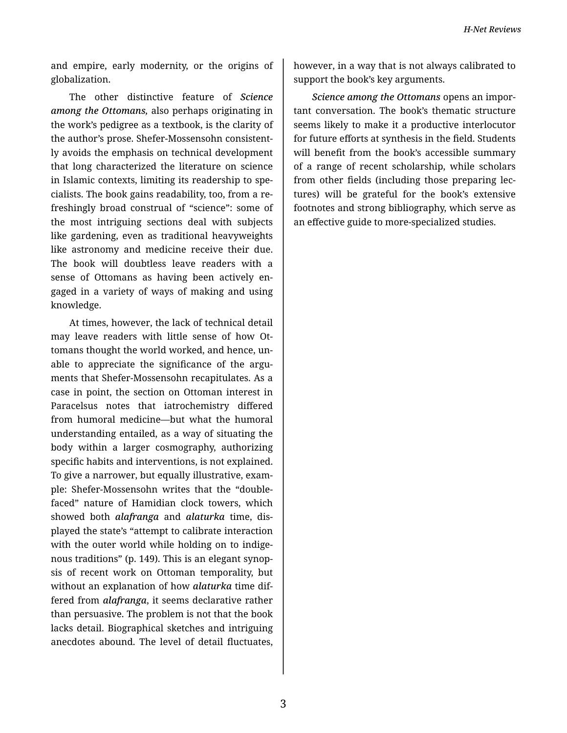and empire, early modernity, or the origins of globalization.

The other distinctive feature of *Science among the Ottomans,* also perhaps originating in the work's pedigree as a textbook, is the clarity of the author's prose. Shefer-Mossensohn consistent‐ ly avoids the emphasis on technical development that long characterized the literature on science in Islamic contexts, limiting its readership to spe‐ cialists. The book gains readability, too, from a re‐ freshingly broad construal of "science": some of the most intriguing sections deal with subjects like gardening, even as traditional heavyweights like astronomy and medicine receive their due. The book will doubtless leave readers with a sense of Ottomans as having been actively en‐ gaged in a variety of ways of making and using knowledge.

At times, however, the lack of technical detail may leave readers with little sense of how Ot‐ tomans thought the world worked, and hence, un‐ able to appreciate the significance of the argu‐ ments that Shefer-Mossensohn recapitulates. As a case in point, the section on Ottoman interest in Paracelsus notes that iatrochemistry differed from humoral medicine—but what the humoral understanding entailed, as a way of situating the body within a larger cosmography, authorizing specific habits and interventions, is not explained. To give a narrower, but equally illustrative, exam‐ ple: Shefer-Mossensohn writes that the "doublefaced" nature of Hamidian clock towers, which showed both *alafranga* and *alaturka* time, dis‐ played the state's "attempt to calibrate interaction with the outer world while holding on to indigenous traditions" (p. 149). This is an elegant synop‐ sis of recent work on Ottoman temporality, but without an explanation of how *alaturka* time dif‐ fered from *alafranga*, it seems declarative rather than persuasive. The problem is not that the book lacks detail. Biographical sketches and intriguing anecdotes abound. The level of detail fluctuates,

however, in a way that is not always calibrated to support the book's key arguments.

*Science among the Ottomans* opens an impor‐ tant conversation. The book's thematic structure seems likely to make it a productive interlocutor for future efforts at synthesis in the field. Students will benefit from the book's accessible summary of a range of recent scholarship, while scholars from other fields (including those preparing lec‐ tures) will be grateful for the book's extensive footnotes and strong bibliography, which serve as an effective guide to more-specialized studies.